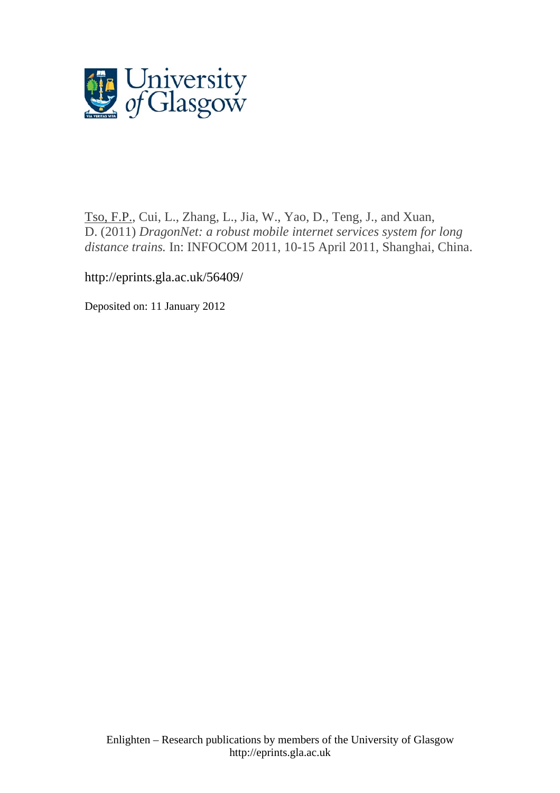

[Tso, F.P.,](http://eprints.gla.ac.uk/view/author/16583.html) Cui, L., Zhang, L., Jia, W., Yao, D., Teng, J., and Xuan, D. (2011) *DragonNet: a robust mobile internet services system for long distance trains.* In: INFOCOM 2011, 10-15 April 2011, Shanghai, China.

http://eprints.gla.ac.uk/56409/

Deposited on: 11 January 2012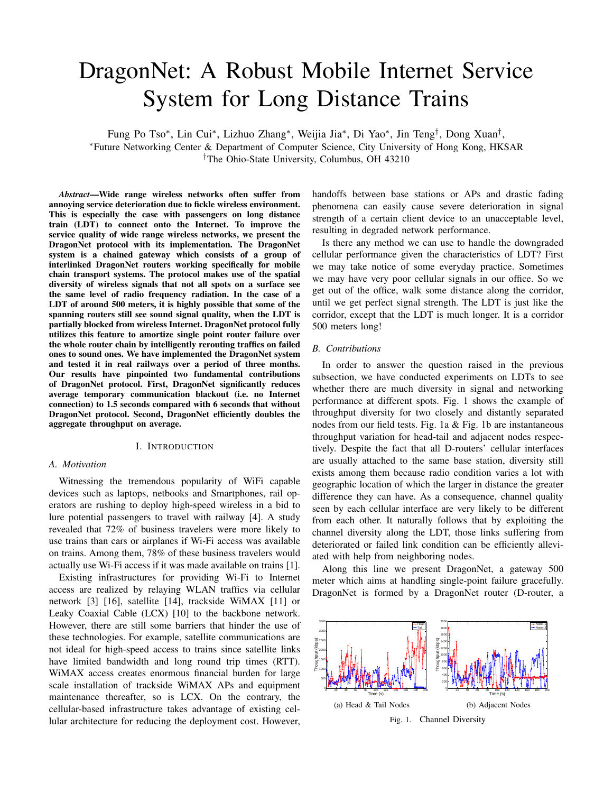# DragonNet: A Robust Mobile Internet Service System for Long Distance Trains

Fung Po Tso\*, Lin Cui\*, Lizhuo Zhang\*, Weijia Jia\*, Di Yao\*, Jin Teng<sup>†</sup>, Dong Xuan<sup>†</sup>, <sup>∗</sup>Future Networking Center & Department of Computer Science, City University of Hong Kong, HKSAR †The Ohio-State University, Columbus, OH 43210

*Abstract*—Wide range wireless networks often suffer from annoying service deterioration due to fickle wireless environment. This is especially the case with passengers on long distance train (LDT) to connect onto the Internet. To improve the service quality of wide range wireless networks, we present the DragonNet protocol with its implementation. The DragonNet system is a chained gateway which consists of a group of interlinked DragonNet routers working specifically for mobile chain transport systems. The protocol makes use of the spatial diversity of wireless signals that not all spots on a surface see the same level of radio frequency radiation. In the case of a LDT of around 500 meters, it is highly possible that some of the spanning routers still see sound signal quality, when the LDT is partially blocked from wireless Internet. DragonNet protocol fully utilizes this feature to amortize single point router failure over the whole router chain by intelligently rerouting traffics on failed ones to sound ones. We have implemented the DragonNet system and tested it in real railways over a period of three months. Our results have pinpointed two fundamental contributions of DragonNet protocol. First, DragonNet significantly reduces average temporary communication blackout (i.e. no Internet connection) to 1.5 seconds compared with 6 seconds that without DragonNet protocol. Second, DragonNet efficiently doubles the aggregate throughput on average.

## I. INTRODUCTION

#### *A. Motivation*

Witnessing the tremendous popularity of WiFi capable devices such as laptops, netbooks and Smartphones, rail operators are rushing to deploy high-speed wireless in a bid to lure potential passengers to travel with railway [4]. A study revealed that 72% of business travelers were more likely to use trains than cars or airplanes if Wi-Fi access was available on trains. Among them, 78% of these business travelers would actually use Wi-Fi access if it was made available on trains [1].

Existing infrastructures for providing Wi-Fi to Internet access are realized by relaying WLAN traffics via cellular network [3] [16], satellite [14], trackside WiMAX [11] or Leaky Coaxial Cable (LCX) [10] to the backbone network. However, there are still some barriers that hinder the use of these technologies. For example, satellite communications are not ideal for high-speed access to trains since satellite links have limited bandwidth and long round trip times (RTT). WiMAX access creates enormous financial burden for large scale installation of trackside WiMAX APs and equipment maintenance thereafter, so is LCX. On the contrary, the cellular-based infrastructure takes advantage of existing cellular architecture for reducing the deployment cost. However,

handoffs between base stations or APs and drastic fading phenomena can easily cause severe deterioration in signal strength of a certain client device to an unacceptable level, resulting in degraded network performance.

Is there any method we can use to handle the downgraded cellular performance given the characteristics of LDT? First we may take notice of some everyday practice. Sometimes we may have very poor cellular signals in our office. So we get out of the office, walk some distance along the corridor, until we get perfect signal strength. The LDT is just like the corridor, except that the LDT is much longer. It is a corridor 500 meters long!

## *B. Contributions*

In order to answer the question raised in the previous subsection, we have conducted experiments on LDTs to see whether there are much diversity in signal and networking performance at different spots. Fig. 1 shows the example of throughput diversity for two closely and distantly separated nodes from our field tests. Fig. 1a & Fig. 1b are instantaneous throughput variation for head-tail and adjacent nodes respectively. Despite the fact that all D-routers' cellular interfaces are usually attached to the same base station, diversity still exists among them because radio condition varies a lot with geographic location of which the larger in distance the greater difference they can have. As a consequence, channel quality seen by each cellular interface are very likely to be different from each other. It naturally follows that by exploiting the channel diversity along the LDT, those links suffering from deteriorated or failed link condition can be efficiently alleviated with help from neighboring nodes.

Along this line we present DragonNet, a gateway 500 meter which aims at handling single-point failure gracefully. DragonNet is formed by a DragonNet router (D-router, a

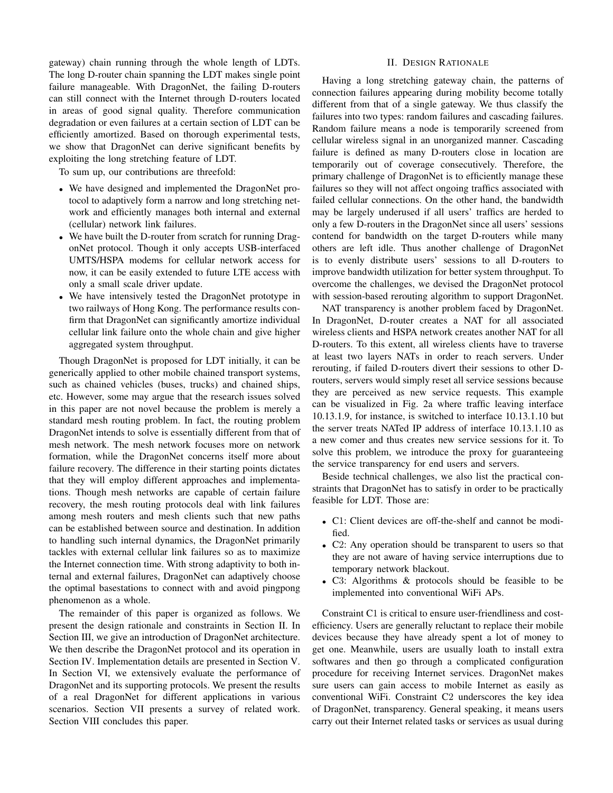gateway) chain running through the whole length of LDTs. The long D-router chain spanning the LDT makes single point failure manageable. With DragonNet, the failing D-routers can still connect with the Internet through D-routers located in areas of good signal quality. Therefore communication degradation or even failures at a certain section of LDT can be efficiently amortized. Based on thorough experimental tests, we show that DragonNet can derive significant benefits by exploiting the long stretching feature of LDT.

To sum up, our contributions are threefold:

- We have designed and implemented the DragonNet protocol to adaptively form a narrow and long stretching network and efficiently manages both internal and external (cellular) network link failures.
- We have built the D-router from scratch for running DragonNet protocol. Though it only accepts USB-interfaced UMTS/HSPA modems for cellular network access for now, it can be easily extended to future LTE access with only a small scale driver update.
- We have intensively tested the DragonNet prototype in two railways of Hong Kong. The performance results confirm that DragonNet can significantly amortize individual cellular link failure onto the whole chain and give higher aggregated system throughput.

Though DragonNet is proposed for LDT initially, it can be generically applied to other mobile chained transport systems, such as chained vehicles (buses, trucks) and chained ships, etc. However, some may argue that the research issues solved in this paper are not novel because the problem is merely a standard mesh routing problem. In fact, the routing problem DragonNet intends to solve is essentially different from that of mesh network. The mesh network focuses more on network formation, while the DragonNet concerns itself more about failure recovery. The difference in their starting points dictates that they will employ different approaches and implementations. Though mesh networks are capable of certain failure recovery, the mesh routing protocols deal with link failures among mesh routers and mesh clients such that new paths can be established between source and destination. In addition to handling such internal dynamics, the DragonNet primarily tackles with external cellular link failures so as to maximize the Internet connection time. With strong adaptivity to both internal and external failures, DragonNet can adaptively choose the optimal basestations to connect with and avoid pingpong phenomenon as a whole.

The remainder of this paper is organized as follows. We present the design rationale and constraints in Section II. In Section III, we give an introduction of DragonNet architecture. We then describe the DragonNet protocol and its operation in Section IV. Implementation details are presented in Section V. In Section VI, we extensively evaluate the performance of DragonNet and its supporting protocols. We present the results of a real DragonNet for different applications in various scenarios. Section VII presents a survey of related work. Section VIII concludes this paper.

#### II. DESIGN RATIONALE

Having a long stretching gateway chain, the patterns of connection failures appearing during mobility become totally different from that of a single gateway. We thus classify the failures into two types: random failures and cascading failures. Random failure means a node is temporarily screened from cellular wireless signal in an unorganized manner. Cascading failure is defined as many D-routers close in location are temporarily out of coverage consecutively. Therefore, the primary challenge of DragonNet is to efficiently manage these failures so they will not affect ongoing traffics associated with failed cellular connections. On the other hand, the bandwidth may be largely underused if all users' traffics are herded to only a few D-routers in the DragonNet since all users' sessions contend for bandwidth on the target D-routers while many others are left idle. Thus another challenge of DragonNet is to evenly distribute users' sessions to all D-routers to improve bandwidth utilization for better system throughput. To overcome the challenges, we devised the DragonNet protocol with session-based rerouting algorithm to support DragonNet.

NAT transparency is another problem faced by DragonNet. In DragonNet, D-router creates a NAT for all associated wireless clients and HSPA network creates another NAT for all D-routers. To this extent, all wireless clients have to traverse at least two layers NATs in order to reach servers. Under rerouting, if failed D-routers divert their sessions to other Drouters, servers would simply reset all service sessions because they are perceived as new service requests. This example can be visualized in Fig. 2a where traffic leaving interface 10.13.1.9, for instance, is switched to interface 10.13.1.10 but the server treats NATed IP address of interface 10.13.1.10 as a new comer and thus creates new service sessions for it. To solve this problem, we introduce the proxy for guaranteeing the service transparency for end users and servers.

Beside technical challenges, we also list the practical constraints that DragonNet has to satisfy in order to be practically feasible for LDT. Those are:

- C1: Client devices are off-the-shelf and cannot be modified.
- C2: Any operation should be transparent to users so that they are not aware of having service interruptions due to temporary network blackout.
- C3: Algorithms & protocols should be feasible to be implemented into conventional WiFi APs.

Constraint C1 is critical to ensure user-friendliness and costefficiency. Users are generally reluctant to replace their mobile devices because they have already spent a lot of money to get one. Meanwhile, users are usually loath to install extra softwares and then go through a complicated configuration procedure for receiving Internet services. DragonNet makes sure users can gain access to mobile Internet as easily as conventional WiFi. Constraint C2 underscores the key idea of DragonNet, transparency. General speaking, it means users carry out their Internet related tasks or services as usual during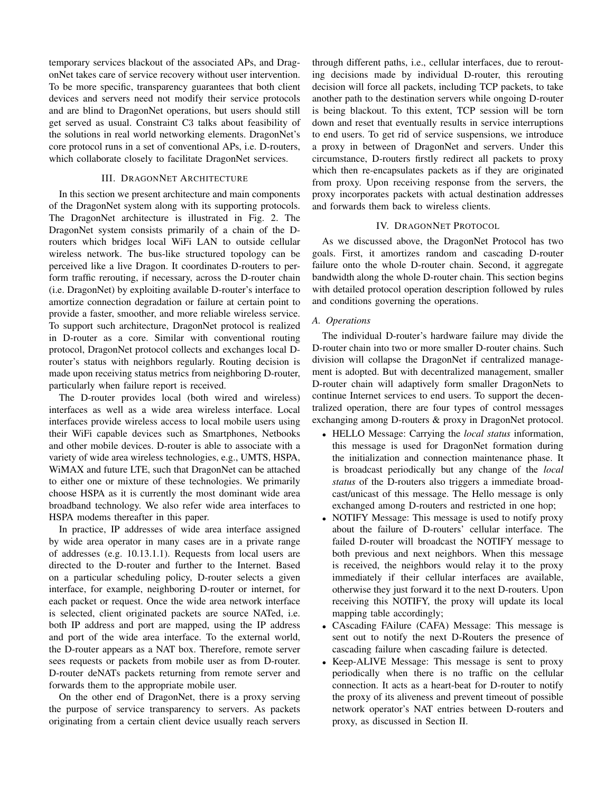temporary services blackout of the associated APs, and DragonNet takes care of service recovery without user intervention. To be more specific, transparency guarantees that both client devices and servers need not modify their service protocols and are blind to DragonNet operations, but users should still get served as usual. Constraint C3 talks about feasibility of the solutions in real world networking elements. DragonNet's core protocol runs in a set of conventional APs, i.e. D-routers, which collaborate closely to facilitate DragonNet services.

#### III. DRAGONNET ARCHITECTURE

In this section we present architecture and main components of the DragonNet system along with its supporting protocols. The DragonNet architecture is illustrated in Fig. 2. The DragonNet system consists primarily of a chain of the Drouters which bridges local WiFi LAN to outside cellular wireless network. The bus-like structured topology can be perceived like a live Dragon. It coordinates D-routers to perform traffic rerouting, if necessary, across the D-router chain (i.e. DragonNet) by exploiting available D-router's interface to amortize connection degradation or failure at certain point to provide a faster, smoother, and more reliable wireless service. To support such architecture, DragonNet protocol is realized in D-router as a core. Similar with conventional routing protocol, DragonNet protocol collects and exchanges local Drouter's status with neighbors regularly. Routing decision is made upon receiving status metrics from neighboring D-router, particularly when failure report is received.

The D-router provides local (both wired and wireless) interfaces as well as a wide area wireless interface. Local interfaces provide wireless access to local mobile users using their WiFi capable devices such as Smartphones, Netbooks and other mobile devices. D-router is able to associate with a variety of wide area wireless technologies, e.g., UMTS, HSPA, WiMAX and future LTE, such that DragonNet can be attached to either one or mixture of these technologies. We primarily choose HSPA as it is currently the most dominant wide area broadband technology. We also refer wide area interfaces to HSPA modems thereafter in this paper.

In practice, IP addresses of wide area interface assigned by wide area operator in many cases are in a private range of addresses (e.g. 10.13.1.1). Requests from local users are directed to the D-router and further to the Internet. Based on a particular scheduling policy, D-router selects a given interface, for example, neighboring D-router or internet, for each packet or request. Once the wide area network interface is selected, client originated packets are source NATed, i.e. both IP address and port are mapped, using the IP address and port of the wide area interface. To the external world, the D-router appears as a NAT box. Therefore, remote server sees requests or packets from mobile user as from D-router. D-router deNATs packets returning from remote server and forwards them to the appropriate mobile user.

On the other end of DragonNet, there is a proxy serving the purpose of service transparency to servers. As packets originating from a certain client device usually reach servers through different paths, i.e., cellular interfaces, due to rerouting decisions made by individual D-router, this rerouting decision will force all packets, including TCP packets, to take another path to the destination servers while ongoing D-router is being blackout. To this extent, TCP session will be torn down and reset that eventually results in service interruptions to end users. To get rid of service suspensions, we introduce a proxy in between of DragonNet and servers. Under this circumstance, D-routers firstly redirect all packets to proxy which then re-encapsulates packets as if they are originated from proxy. Upon receiving response from the servers, the proxy incorporates packets with actual destination addresses and forwards them back to wireless clients.

## IV. DRAGONNET PROTOCOL

As we discussed above, the DragonNet Protocol has two goals. First, it amortizes random and cascading D-router failure onto the whole D-router chain. Second, it aggregate bandwidth along the whole D-router chain. This section begins with detailed protocol operation description followed by rules and conditions governing the operations.

#### *A. Operations*

The individual D-router's hardware failure may divide the D-router chain into two or more smaller D-router chains. Such division will collapse the DragonNet if centralized management is adopted. But with decentralized management, smaller D-router chain will adaptively form smaller DragonNets to continue Internet services to end users. To support the decentralized operation, there are four types of control messages exchanging among D-routers & proxy in DragonNet protocol.

- HELLO Message: Carrying the *local status* information, this message is used for DragonNet formation during the initialization and connection maintenance phase. It is broadcast periodically but any change of the *local status* of the D-routers also triggers a immediate broadcast/unicast of this message. The Hello message is only exchanged among D-routers and restricted in one hop;
- NOTIFY Message: This message is used to notify proxy about the failure of D-routers' cellular interface. The failed D-router will broadcast the NOTIFY message to both previous and next neighbors. When this message is received, the neighbors would relay it to the proxy immediately if their cellular interfaces are available, otherwise they just forward it to the next D-routers. Upon receiving this NOTIFY, the proxy will update its local mapping table accordingly;
- CAscading FAilure (CAFA) Message: This message is sent out to notify the next D-Routers the presence of cascading failure when cascading failure is detected.
- Keep-ALIVE Message: This message is sent to proxy periodically when there is no traffic on the cellular connection. It acts as a heart-beat for D-router to notify the proxy of its aliveness and prevent timeout of possible network operator's NAT entries between D-routers and proxy, as discussed in Section II.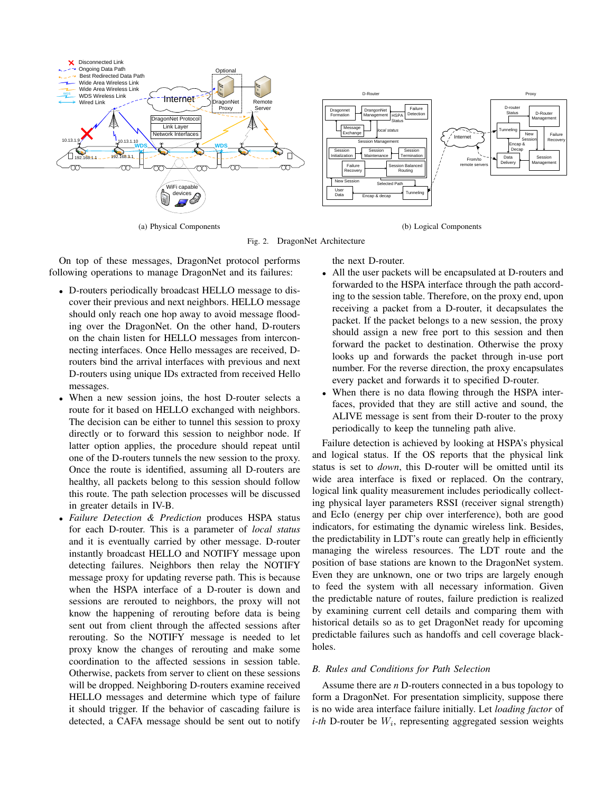

(a) Physical Components

(b) Logical Components

Fig. 2. DragonNet Architecture

On top of these messages, DragonNet protocol performs following operations to manage DragonNet and its failures:

- D-routers periodically broadcast HELLO message to discover their previous and next neighbors. HELLO message should only reach one hop away to avoid message flooding over the DragonNet. On the other hand, D-routers on the chain listen for HELLO messages from interconnecting interfaces. Once Hello messages are received, Drouters bind the arrival interfaces with previous and next D-routers using unique IDs extracted from received Hello messages.
- When a new session joins, the host D-router selects a route for it based on HELLO exchanged with neighbors. The decision can be either to tunnel this session to proxy directly or to forward this session to neighbor node. If latter option applies, the procedure should repeat until one of the D-routers tunnels the new session to the proxy. Once the route is identified, assuming all D-routers are healthy, all packets belong to this session should follow this route. The path selection processes will be discussed in greater details in IV-B.
- *Failure Detection & Prediction* produces HSPA status for each D-router. This is a parameter of *local status* and it is eventually carried by other message. D-router instantly broadcast HELLO and NOTIFY message upon detecting failures. Neighbors then relay the NOTIFY message proxy for updating reverse path. This is because when the HSPA interface of a D-router is down and sessions are rerouted to neighbors, the proxy will not know the happening of rerouting before data is being sent out from client through the affected sessions after rerouting. So the NOTIFY message is needed to let proxy know the changes of rerouting and make some coordination to the affected sessions in session table. Otherwise, packets from server to client on these sessions will be dropped. Neighboring D-routers examine received HELLO messages and determine which type of failure it should trigger. If the behavior of cascading failure is detected, a CAFA message should be sent out to notify

the next D-router.

- All the user packets will be encapsulated at D-routers and forwarded to the HSPA interface through the path according to the session table. Therefore, on the proxy end, upon receiving a packet from a D-router, it decapsulates the packet. If the packet belongs to a new session, the proxy should assign a new free port to this session and then forward the packet to destination. Otherwise the proxy looks up and forwards the packet through in-use port number. For the reverse direction, the proxy encapsulates every packet and forwards it to specified D-router.
- When there is no data flowing through the HSPA interfaces, provided that they are still active and sound, the ALIVE message is sent from their D-router to the proxy periodically to keep the tunneling path alive.

Failure detection is achieved by looking at HSPA's physical and logical status. If the OS reports that the physical link status is set to *down*, this D-router will be omitted until its wide area interface is fixed or replaced. On the contrary, logical link quality measurement includes periodically collecting physical layer parameters RSSI (receiver signal strength) and EcIo (energy per chip over interference), both are good indicators, for estimating the dynamic wireless link. Besides, the predictability in LDT's route can greatly help in efficiently managing the wireless resources. The LDT route and the position of base stations are known to the DragonNet system. Even they are unknown, one or two trips are largely enough to feed the system with all necessary information. Given the predictable nature of routes, failure prediction is realized by examining current cell details and comparing them with historical details so as to get DragonNet ready for upcoming predictable failures such as handoffs and cell coverage blackholes.

## *B. Rules and Conditions for Path Selection*

Assume there are *n* D-routers connected in a bus topology to form a DragonNet. For presentation simplicity, suppose there is no wide area interface failure initially. Let *loading factor* of  $i$ -th D-router be  $W_i$ , representing aggregated session weights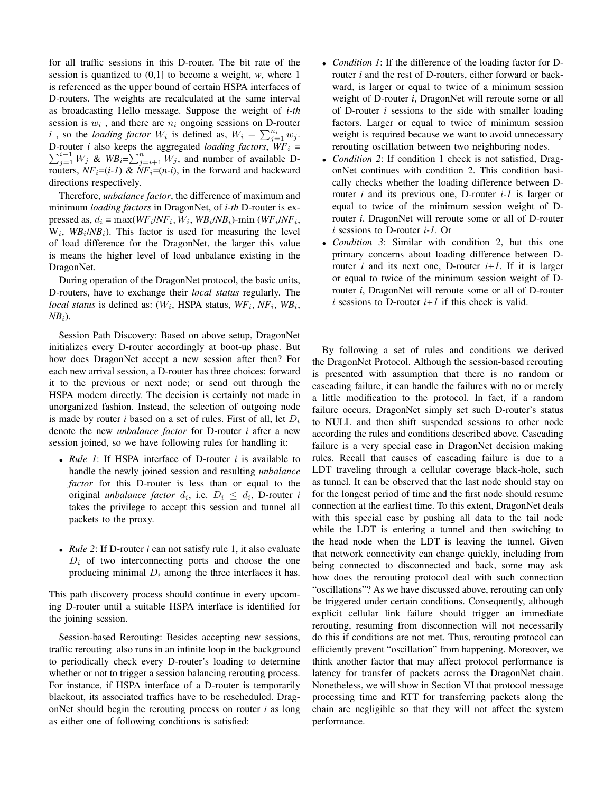for all traffic sessions in this D-router. The bit rate of the session is quantized to (0,1] to become a weight, *w*, where 1 is referenced as the upper bound of certain HSPA interfaces of D-routers. The weights are recalculated at the same interval as broadcasting Hello message. Suppose the weight of *i-th* session is  $w_i$ , and there are  $n_i$  ongoing sessions on D-router *i*, so the *loading factor*  $W_i$  is defined as,  $W_i = \sum_{j=1}^{n_i} w_j$ .  $\sum_{j=1}^{i-1} W_j$  &  $W B_i = \sum_{j=i+1}^{n} W_j$ , and number of available D-D-router *i* also keeps the aggregated *loading factors*,  $WF_i$  = routers,  $NF_i=(i-1)$  &  $NF_i=(n-i)$ , in the forward and backward directions respectively.

Therefore, *unbalance factor*, the difference of maximum and minimum *loading factors* in DragonNet, of *i-th* D-router is expressed as,  $d_i = \max(WF_i/NF_i, W_i, WB_i/NB_i)$ -min ( $WF_i/NF_i$ ,  $W_i$ ,  $W B_i / N B_i$ ). This factor is used for measuring the level of load difference for the DragonNet, the larger this value is means the higher level of load unbalance existing in the DragonNet.

During operation of the DragonNet protocol, the basic units, D-routers, have to exchange their *local status* regularly. The *local status* is defined as:  $(W_i, \text{HSPA status}, \text{WF}_i, \text{NF}_i, \text{WB}_i, \text{FWB}_i)$  $NB<sub>i</sub>$ ).

Session Path Discovery: Based on above setup, DragonNet initializes every D-router accordingly at boot-up phase. But how does DragonNet accept a new session after then? For each new arrival session, a D-router has three choices: forward it to the previous or next node; or send out through the HSPA modem directly. The decision is certainly not made in unorganized fashion. Instead, the selection of outgoing node is made by router *i* based on a set of rules. First of all, let  $D_i$ denote the new *unbalance factor* for D-router *i* after a new session joined, so we have following rules for handling it:

- *Rule 1*: If HSPA interface of D-router *i* is available to handle the newly joined session and resulting *unbalance factor* for this D-router is less than or equal to the original *unbalance factor*  $d_i$ , i.e.  $D_i \leq d_i$ , D-router *i* takes the privilege to accept this session and tunnel all packets to the proxy.
- *Rule 2*: If D-router *i* can not satisfy rule 1, it also evaluate  $D_i$  of two interconnecting ports and choose the one producing minimal  $D_i$  among the three interfaces it has.

This path discovery process should continue in every upcoming D-router until a suitable HSPA interface is identified for the joining session.

Session-based Rerouting: Besides accepting new sessions, traffic rerouting also runs in an infinite loop in the background to periodically check every D-router's loading to determine whether or not to trigger a session balancing rerouting process. For instance, if HSPA interface of a D-router is temporarily blackout, its associated traffics have to be rescheduled. DragonNet should begin the rerouting process on router *i* as long as either one of following conditions is satisfied:

- *Condition 1*: If the difference of the loading factor for Drouter *i* and the rest of D-routers, either forward or backward, is larger or equal to twice of a minimum session weight of D-router *i*, DragonNet will reroute some or all of D-router *i* sessions to the side with smaller loading factors. Larger or equal to twice of minimum session weight is required because we want to avoid unnecessary rerouting oscillation between two neighboring nodes.
- *Condition 2*: If condition 1 check is not satisfied, DragonNet continues with condition 2. This condition basically checks whether the loading difference between Drouter *i* and its previous one, D-router *i-1* is larger or equal to twice of the minimum session weight of Drouter *i*. DragonNet will reroute some or all of D-router *i* sessions to D-router *i-1*. Or
- *Condition 3*: Similar with condition 2, but this one primary concerns about loading difference between Drouter *i* and its next one, D-router  $i+1$ . If it is larger or equal to twice of the minimum session weight of Drouter *i*, DragonNet will reroute some or all of D-router  $i$  sessions to D-router  $i+1$  if this check is valid.

By following a set of rules and conditions we derived the DragonNet Protocol. Although the session-based rerouting is presented with assumption that there is no random or cascading failure, it can handle the failures with no or merely a little modification to the protocol. In fact, if a random failure occurs, DragonNet simply set such D-router's status to NULL and then shift suspended sessions to other node according the rules and conditions described above. Cascading failure is a very special case in DragonNet decision making rules. Recall that causes of cascading failure is due to a LDT traveling through a cellular coverage black-hole, such as tunnel. It can be observed that the last node should stay on for the longest period of time and the first node should resume connection at the earliest time. To this extent, DragonNet deals with this special case by pushing all data to the tail node while the LDT is entering a tunnel and then switching to the head node when the LDT is leaving the tunnel. Given that network connectivity can change quickly, including from being connected to disconnected and back, some may ask how does the rerouting protocol deal with such connection "oscillations"? As we have discussed above, rerouting can only be triggered under certain conditions. Consequently, although explicit cellular link failure should trigger an immediate rerouting, resuming from disconnection will not necessarily do this if conditions are not met. Thus, rerouting protocol can efficiently prevent "oscillation" from happening. Moreover, we think another factor that may affect protocol performance is latency for transfer of packets across the DragonNet chain. Nonetheless, we will show in Section VI that protocol message processing time and RTT for transferring packets along the chain are negligible so that they will not affect the system performance.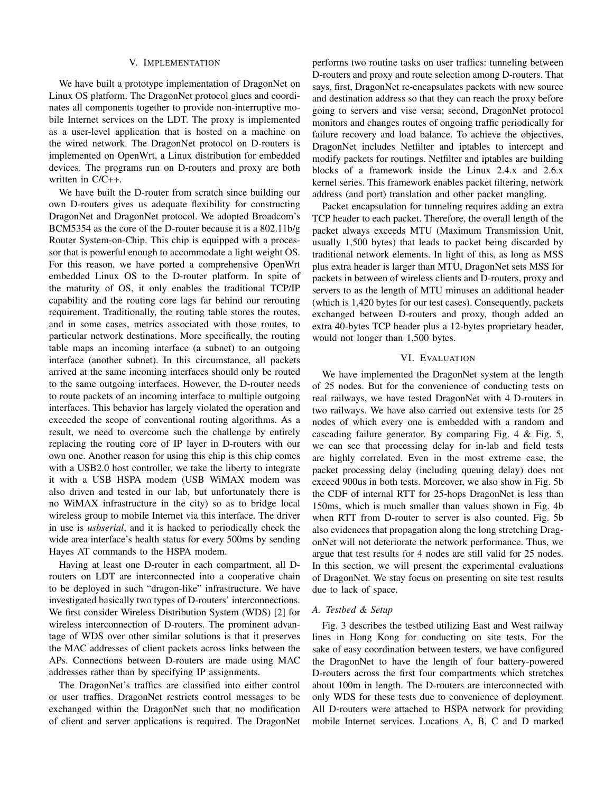#### V. IMPLEMENTATION

We have built a prototype implementation of DragonNet on Linux OS platform. The DragonNet protocol glues and coordinates all components together to provide non-interruptive mobile Internet services on the LDT. The proxy is implemented as a user-level application that is hosted on a machine on the wired network. The DragonNet protocol on D-routers is implemented on OpenWrt, a Linux distribution for embedded devices. The programs run on D-routers and proxy are both written in C/C++.

We have built the D-router from scratch since building our own D-routers gives us adequate flexibility for constructing DragonNet and DragonNet protocol. We adopted Broadcom's BCM5354 as the core of the D-router because it is a 802.11b/g Router System-on-Chip. This chip is equipped with a processor that is powerful enough to accommodate a light weight OS. For this reason, we have ported a comprehensive OpenWrt embedded Linux OS to the D-router platform. In spite of the maturity of OS, it only enables the traditional TCP/IP capability and the routing core lags far behind our rerouting requirement. Traditionally, the routing table stores the routes, and in some cases, metrics associated with those routes, to particular network destinations. More specifically, the routing table maps an incoming interface (a subnet) to an outgoing interface (another subnet). In this circumstance, all packets arrived at the same incoming interfaces should only be routed to the same outgoing interfaces. However, the D-router needs to route packets of an incoming interface to multiple outgoing interfaces. This behavior has largely violated the operation and exceeded the scope of conventional routing algorithms. As a result, we need to overcome such the challenge by entirely replacing the routing core of IP layer in D-routers with our own one. Another reason for using this chip is this chip comes with a USB2.0 host controller, we take the liberty to integrate it with a USB HSPA modem (USB WiMAX modem was also driven and tested in our lab, but unfortunately there is no WiMAX infrastructure in the city) so as to bridge local wireless group to mobile Internet via this interface. The driver in use is *usbserial*, and it is hacked to periodically check the wide area interface's health status for every 500ms by sending Hayes AT commands to the HSPA modem.

Having at least one D-router in each compartment, all Drouters on LDT are interconnected into a cooperative chain to be deployed in such "dragon-like" infrastructure. We have investigated basically two types of D-routers' interconnections. We first consider Wireless Distribution System (WDS) [2] for wireless interconnection of D-routers. The prominent advantage of WDS over other similar solutions is that it preserves the MAC addresses of client packets across links between the APs. Connections between D-routers are made using MAC addresses rather than by specifying IP assignments.

The DragonNet's traffics are classified into either control or user traffics. DragonNet restricts control messages to be exchanged within the DragonNet such that no modification of client and server applications is required. The DragonNet

performs two routine tasks on user traffics: tunneling between D-routers and proxy and route selection among D-routers. That says, first, DragonNet re-encapsulates packets with new source and destination address so that they can reach the proxy before going to servers and vise versa; second, DragonNet protocol monitors and changes routes of ongoing traffic periodically for failure recovery and load balance. To achieve the objectives, DragonNet includes Netfilter and iptables to intercept and modify packets for routings. Netfilter and iptables are building blocks of a framework inside the Linux 2.4.x and 2.6.x kernel series. This framework enables packet filtering, network address (and port) translation and other packet mangling.

Packet encapsulation for tunneling requires adding an extra TCP header to each packet. Therefore, the overall length of the packet always exceeds MTU (Maximum Transmission Unit, usually 1,500 bytes) that leads to packet being discarded by traditional network elements. In light of this, as long as MSS plus extra header is larger than MTU, DragonNet sets MSS for packets in between of wireless clients and D-routers, proxy and servers to as the length of MTU minuses an additional header (which is 1,420 bytes for our test cases). Consequently, packets exchanged between D-routers and proxy, though added an extra 40-bytes TCP header plus a 12-bytes proprietary header, would not longer than 1,500 bytes.

#### VI. EVALUATION

We have implemented the DragonNet system at the length of 25 nodes. But for the convenience of conducting tests on real railways, we have tested DragonNet with 4 D-routers in two railways. We have also carried out extensive tests for 25 nodes of which every one is embedded with a random and cascading failure generator. By comparing Fig. 4 & Fig. 5, we can see that processing delay for in-lab and field tests are highly correlated. Even in the most extreme case, the packet processing delay (including queuing delay) does not exceed 900us in both tests. Moreover, we also show in Fig. 5b the CDF of internal RTT for 25-hops DragonNet is less than 150ms, which is much smaller than values shown in Fig. 4b when RTT from D-router to server is also counted. Fig. 5b also evidences that propagation along the long stretching DragonNet will not deteriorate the network performance. Thus, we argue that test results for 4 nodes are still valid for 25 nodes. In this section, we will present the experimental evaluations of DragonNet. We stay focus on presenting on site test results due to lack of space.

## *A. Testbed & Setup*

Fig. 3 describes the testbed utilizing East and West railway lines in Hong Kong for conducting on site tests. For the sake of easy coordination between testers, we have configured the DragonNet to have the length of four battery-powered D-routers across the first four compartments which stretches about 100m in length. The D-routers are interconnected with only WDS for these tests due to convenience of deployment. All D-routers were attached to HSPA network for providing mobile Internet services. Locations A, B, C and D marked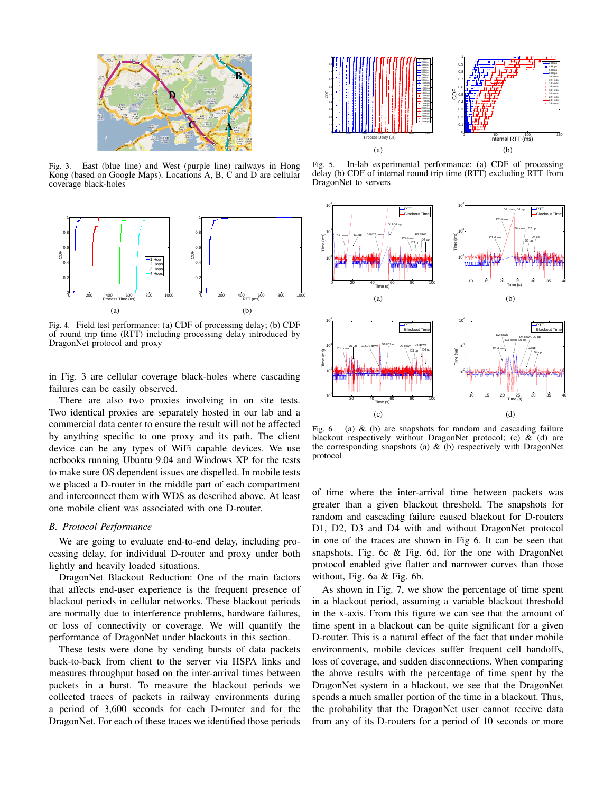

Fig. 3. East (blue line) and West (purple line) railways in Hong Kong (based on Google Maps). Locations A, B, C and D are cellular coverage black-holes



Fig. 4. Field test performance: (a) CDF of processing delay; (b) CDF of round trip time (RTT) including processing delay introduced by DragonNet protocol and proxy

in Fig. 3 are cellular coverage black-holes where cascading failures can be easily observed.

There are also two proxies involving in on site tests. Two identical proxies are separately hosted in our lab and a commercial data center to ensure the result will not be affected by anything specific to one proxy and its path. The client device can be any types of WiFi capable devices. We use netbooks running Ubuntu 9.04 and Windows XP for the tests to make sure OS dependent issues are dispelled. In mobile tests we placed a D-router in the middle part of each compartment and interconnect them with WDS as described above. At least one mobile client was associated with one D-router.

## *B. Protocol Performance*

We are going to evaluate end-to-end delay, including processing delay, for individual D-router and proxy under both lightly and heavily loaded situations.

DragonNet Blackout Reduction: One of the main factors that affects end-user experience is the frequent presence of blackout periods in cellular networks. These blackout periods are normally due to interference problems, hardware failures, or loss of connectivity or coverage. We will quantify the performance of DragonNet under blackouts in this section.

These tests were done by sending bursts of data packets back-to-back from client to the server via HSPA links and measures throughput based on the inter-arrival times between packets in a burst. To measure the blackout periods we collected traces of packets in railway environments during a period of 3,600 seconds for each D-router and for the



Fig. 5. In-lab experimental performance: (a) CDF of processing delay (b) CDF of internal round trip time (RTT) excluding RTT from DragonNet to servers



Fig. 6. (a) & (b) are snapshots for random and cascading failure blackout respectively without DragonNet protocol; (c)  $\&$  (d) are the corresponding snapshots (a)  $\&$  (b) respectively with DragonNet protocol

of time where the inter-arrival time between packets was greater than a given blackout threshold. The snapshots for random and cascading failure caused blackout for D-routers D1, D2, D3 and D4 with and without DragonNet protocol in one of the traces are shown in Fig 6. It can be seen that snapshots, Fig. 6c & Fig. 6d, for the one with DragonNet protocol enabled give flatter and narrower curves than those without, Fig. 6a & Fig. 6b.

As shown in Fig. 7, we show the percentage of time spent in a blackout period, assuming a variable blackout threshold in the x-axis. From this figure we can see that the amount of time spent in a blackout can be quite significant for a given D-router. This is a natural effect of the fact that under mobile environments, mobile devices suffer frequent cell handoffs, loss of coverage, and sudden disconnections. When comparing the above results with the percentage of time spent by the DragonNet system in a blackout, we see that the DragonNet spends a much smaller portion of the time in a blackout. Thus, the probability that the DragonNet user cannot receive data from any of its D-routers for a period of 10 seconds or more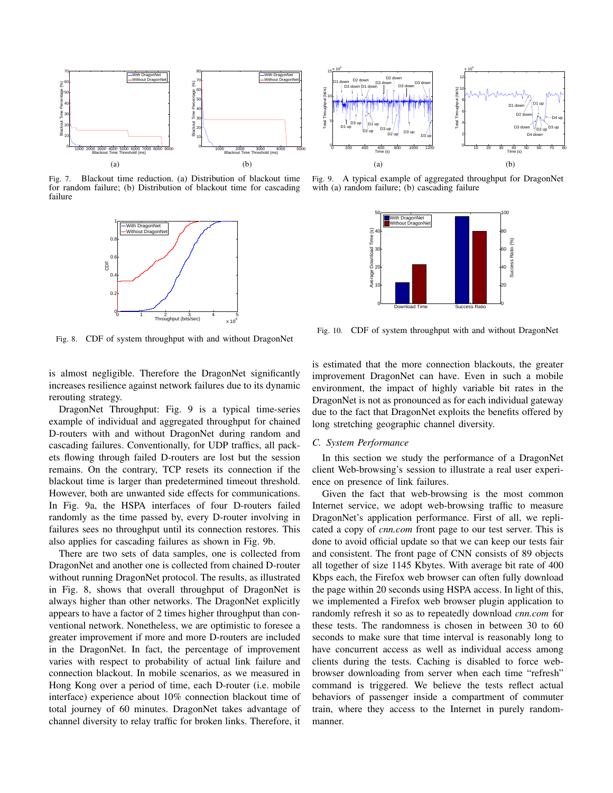

Fig. 7. Blackout time reduction. (a) Distribution of blackout time for random failure; (b) Distribution of blackout time for cascading failure



Fig. 8. CDF of system throughput with and without DragonNet

is almost negligible. Therefore the DragonNet significantly increases resilience against network failures due to its dynamic rerouting strategy.

DragonNet Throughput: Fig. 9 is a typical time-series example of individual and aggregated throughput for chained D-routers with and without DragonNet during random and cascading failures. Conventionally, for UDP traffics, all packets flowing through failed D-routers are lost but the session remains. On the contrary, TCP resets its connection if the blackout time is larger than predetermined timeout threshold. However, both are unwanted side effects for communications. In Fig. 9a, the HSPA interfaces of four D-routers failed randomly as the time passed by, every D-router involving in failures sees no throughput until its connection restores. This also applies for cascading failures as shown in Fig. 9b.

There are two sets of data samples, one is collected from DragonNet and another one is collected from chained D-router without running DragonNet protocol. The results, as illustrated in Fig. 8, shows that overall throughput of DragonNet is always higher than other networks. The DragonNet explicitly appears to have a factor of 2 times higher throughput than conventional network. Nonetheless, we are optimistic to foresee a greater improvement if more and more D-routers are included in the DragonNet. In fact, the percentage of improvement varies with respect to probability of actual link failure and connection blackout. In mobile scenarios, as we measured in Hong Kong over a period of time, each D-router (i.e. mobile interface) experience about 10% connection blackout time of total journey of 60 minutes. DragonNet takes advantage of Channel diversity to relay the state of the state of the state of the state of the state of the state of the state of the state of the state of the state of the state of the state of the state of the state of the state of



Fig. 9. A typical example of aggregated throughput for DragonNet with (a) random failure; (b) cascading failure



Fig. 10. CDF of system throughput with and without DragonNet

is estimated that the more connection blackouts, the greater improvement DragonNet can have. Even in such a mobile environment, the impact of highly variable bit rates in the DragonNet is not as pronounced as for each individual gateway due to the fact that DragonNet exploits the benefits offered by long stretching geographic channel diversity.

#### *C. System Performance*

In this section we study the performance of a DragonNet client Web-browsing's session to illustrate a real user experience on presence of link failures.

Given the fact that web-browsing is the most common Internet service, we adopt web-browsing traffic to measure DragonNet's application performance. First of all, we replicated a copy of *cnn.com* front page to our test server. This is done to avoid official update so that we can keep our tests fair and consistent. The front page of CNN consists of 89 objects all together of size 1145 Kbytes. With average bit rate of 400 Kbps each, the Firefox web browser can often fully download the page within 20 seconds using HSPA access. In light of this, we implemented a Firefox web browser plugin application to randomly refresh it so as to repeatedly download *cnn.com* for these tests. The randomness is chosen in between 30 to 60 seconds to make sure that time interval is reasonably long to have concurrent access as well as individual access among clients during the tests. Caching is disabled to force webbrowser downloading from server when each time "refresh" command is triggered. We believe the tests reflect actual behaviors of passenger inside a compartment of commuter train, where they access to the Internet in purely randommanner.